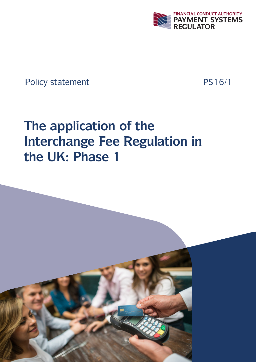

**Policy statement** 

PS16/1

# The application of the **Interchange Fee Regulation in** the UK: Phase 1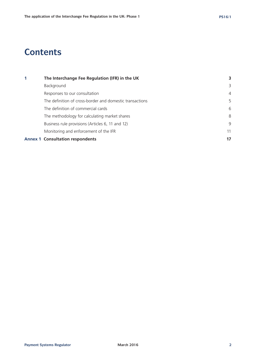# **Contents**

| $\blacktriangleleft$ | The Interchange Fee Regulation (IFR) in the UK           |                |
|----------------------|----------------------------------------------------------|----------------|
|                      | Background                                               | 3              |
|                      | Responses to our consultation                            | $\overline{4}$ |
|                      | The definition of cross-border and domestic transactions | 5              |
|                      | The definition of commercial cards                       | 6              |
|                      | The methodology for calculating market shares            | 8              |
|                      | Business rule provisions (Articles 6, 11 and 12)         | 9              |
|                      | Monitoring and enforcement of the IFR                    | 11             |
|                      | <b>Annex 1 Consultation respondents</b>                  | 17             |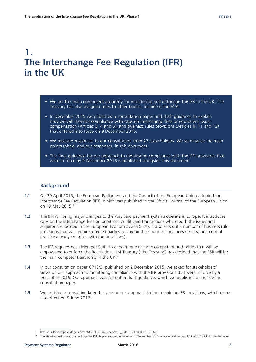# **1. The Interchange Fee Regulation (IFR) in the UK**

- We are the main competent authority for monitoring and enforcing the IFR in the UK. The Treasury has also assigned roles to other bodies, including the FCA.
- In December 2015 we published a consultation paper and draft guidance to explain how we will monitor compliance with caps on interchange fees or equivalent issuer compensation (Articles 3, 4 and 5), and business rules provisions (Articles 6, 11 and 12) that entered into force on 9 December 2015.
- We received responses to our consultation from 27 stakeholders. We summarise the main points raised, and our responses, in this document.
- The final guidance for our approach to monitoring compliance with the IFR provisions that were in force by 9 December 2015 is published alongside this document.

# **Background**

- **1.1** On 29 April 2015, the European Parliament and the Council of the European Union adopted the Interchange Fee Regulation (IFR), which was published in the Official Journal of the European Union on 19 May 2015.<sup>1</sup>
- **1.2** The IFR will bring major changes to the way card payment systems operate in Europe. It introduces caps on the interchange fees on debit and credit card transactions where both the issuer and acquirer are located in the European Economic Area (EEA). It also sets out a number of business rule provisions that will require affected parties to amend their business practices (unless their current practice already complies with the provisions).
- **1.3** The IFR requires each Member State to appoint one or more competent authorities that will be empowered to enforce the Regulation. HM Treasury ('the Treasury') has decided that the PSR will be the main competent authority in the UK.<sup>2</sup>
- **1.4** In our consultation paper CP15/3, published on 2 December 2015, we asked for stakeholders' views on our approach to monitoring compliance with the IFR provisions that were in force by 9 December 2015. Our approach was set out in draft guidance, which we published alongside the consultation paper.
- **1.5** We anticipate consulting later this year on our approach to the remaining IFR provisions, which come into effect on 9 June 2016.

<sup>1</sup> http://eur-lex.europa.eu/legal-content/EN/TXT/?uri=uriserv:OJ.L\_.2015.123.01.0001.01.ENG

<sup>2</sup> The Statutory Instrument that will give the PSR its powers was published on 17 November 2015. www.legislation.gov.uk/uksi/2015/1911/contents/mades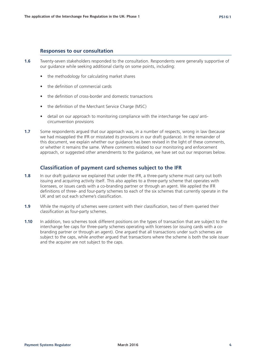# **Responses to our consultation**

- **1.6** Twenty-seven stakeholders responded to the consultation. Respondents were generally supportive of our guidance while seeking additional clarity on some points, including:
	- the methodology for calculating market shares
	- the definition of commercial cards
	- the definition of cross-border and domestic transactions
	- the definition of the Merchant Service Charge (MSC)
	- detail on our approach to monitoring compliance with the interchange fee caps/ anticircumvention provisions
- **1.7** Some respondents argued that our approach was, in a number of respects, wrong in law (because we had misapplied the IFR or misstated its provisions in our draft guidance). In the remainder of this document, we explain whether our guidance has been revised in the light of these comments, or whether it remains the same. Where comments related to our monitoring and enforcement approach, or suggested other amendments to the guidance, we have set out our responses below.

# **Classification of payment card schemes subject to the IFR**

- **1.8** In our draft guidance we explained that under the IFR, a three-party scheme must carry out both issuing and acquiring activity itself. This also applies to a three-party scheme that operates with licensees, or issues cards with a co-branding partner or through an agent. We applied the IFR definitions of three- and four-party schemes to each of the six schemes that currently operate in the UK and set out each scheme's classification.
- **1.9** While the majority of schemes were content with their classification, two of them queried their classification as four-party schemes.
- **1.10** In addition, two schemes took different positions on the types of transaction that are subject to the interchange fee caps for three-party schemes operating with licensees (or issuing cards with a cobranding partner or through an agent). One argued that all transactions under such schemes are subject to the caps, while another argued that transactions where the scheme is both the sole issuer and the acquirer are not subject to the caps.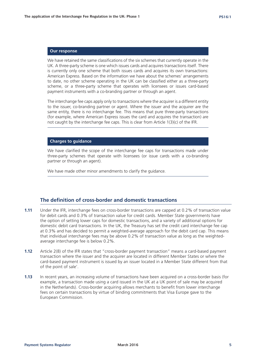We have retained the same classifications of the six schemes that currently operate in the UK. A three-party scheme is one which issues cards and acquires transactions itself. There is currently only one scheme that both issues cards and acquires its own transactions: American Express. Based on the information we have about the schemes' arrangements to date, no other scheme operating in the UK can be classified either as a three-party scheme, or a three-party scheme that operates with licensees or issues card-based payment instruments with a co-branding partner or through an agent.

The interchange fee caps apply only to transactions where the acquirer is a different entity to the issuer, co-branding partner or agent. Where the issuer and the acquirer are the same entity, there is no interchange fee. This means that pure three-party transactions (for example, where American Express issues the card and acquires the transaction) are not caught by the interchange fee caps. This is clear from Article 1(3)(c) of the IFR.

### **Charges to guidance**

We have clarified the scope of the interchange fee caps for transactions made under three-party schemes that operate with licensees (or issue cards with a co-branding partner or through an agent).

We have made other minor amendments to clarify the quidance.

# **The definition of cross-border and domestic transactions**

- **1.11** Under the IFR, interchange fees on cross-border transactions are capped at 0.2% of transaction value for debit cards and 0.3% of transaction value for credit cards. Member State governments have the option of setting lower caps for domestic transactions, and a variety of additional options for domestic debit card transactions. In the UK, the Treasury has set the credit card interchange fee cap at 0.3% and has decided to permit a weighted-average approach for the debit card cap. This means that individual interchange fees may be above 0.2% of transaction value as long as the weightedaverage interchange fee is below 0.2%.
- **1.12** Article 2(8) of the IFR states that "cross-border payment transaction" means a card-based payment transaction where the issuer and the acquirer are located in different Member States or where the card-based payment instrument is issued by an issuer located in a Member State different from that of the point of sale'.
- **1.13** In recent years, an increasing volume of transactions have been acquired on a cross-border basis (for example, a transaction made using a card issued in the UK at a UK point of sale may be acquired in the Netherlands). Cross-border acquiring allows merchants to benefit from lower interchange fees on certain transactions by virtue of binding commitments that Visa Europe gave to the European Commission.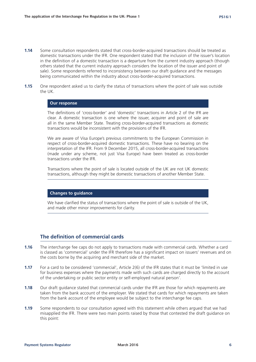- **1.14** Some consultation respondents stated that cross-border-acquired transactions should be treated as domestic transactions under the IFR. One respondent stated that the inclusion of the issuer's location in the definition of a domestic transaction is a departure from the current industry approach (though others stated that the current industry approach considers the location of the issuer and point of sale). Some respondents referred to inconsistency between our draft guidance and the messages being communicated within the industry about cross-border-acquired transactions.
- **1.15** One respondent asked us to clarify the status of transactions where the point of sale was outside the UK.

The definitions of 'cross-border' and 'domestic' transactions in Article 2 of the IFR are clear. A domestic transaction is one where the issuer, acquirer and point of sale are all in the same Member State. Treating cross-border-acquired transactions as domestic transactions would be inconsistent with the provisions of the IFR.

We are aware of Visa Europe's previous commitments to the European Commission in respect of cross-border-acquired domestic transactions. These have no bearing on the interpretation of the IFR. From 9 December 2015, all cross-border-acquired transactions (made under any scheme, not just Visa Europe) have been treated as cross-border transactions under the IFR.

Transactions where the point of sale is located outside of the UK are not UK domestic transactions, although they might be domestic transactions of another Member State.

# **Changes to guidance**

We have clarified the status of transactions where the point of sale is outside of the UK, and made other minor improvements for clarity.

# **The definition of commercial cards**

- **1.16** The interchange fee caps do not apply to transactions made with commercial cards. Whether a card is classed as 'commercial' under the IFR therefore has a significant impact on issuers' revenues and on the costs borne by the acquiring and merchant side of the market.
- **1.17** For a card to be considered 'commercial', Article 2(6) of the IFR states that it must be 'limited in use for business expenses where the payments made with such cards are charged directly to the account of the undertaking or public sector entity or self-employed natural person'.
- **1.18** Our draft guidance stated that commercial cards under the IFR are those for which repayments are taken from the bank account of the employer. We stated that cards for which repayments are taken from the bank account of the employee would be subject to the interchange fee caps.
- **1.19** Some respondents to our consultation agreed with this statement while others argued that we had misapplied the IFR. There were two main points raised by those that contested the draft guidance on this point: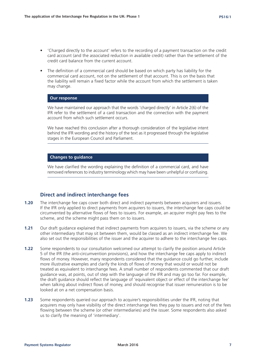- 'Charged directly to the account' refers to the recording of a payment transaction on the credit card account (and the associated reduction in available credit) rather than the settlement of the credit card balance from the current account.
- The definition of a commercial card should be based on which party has liability for the commercial card account, not on the settlement of that account. This is on the basis that the liability will remain a fixed factor while the account from which the settlement is taken may change.

We have maintained our approach that the words 'charged directly' in Article 2(6) of the IFR refer to the settlement of a card transaction and the connection with the payment account from which such settlement occurs.

We have reached this conclusion after a thorough consideration of the legislative intent behind the IFR wording and the history of the text as it progressed through the legislative stages in the European Council and Parliament.

# **Changes to guidance**

We have clarified the wording explaining the definition of a commercial card, and have removed references to industry terminology which may have been unhelpful or confusing.

# **Direct and indirect interchange fees**

- **1.20** The interchange fee caps cover both direct and indirect payments between acquirers and issuers. If the IFR only applied to direct payments from acquirers to issuers, the interchange fee caps could be circumvented by alternative flows of fees to issuers. For example, an acquirer might pay fees to the scheme, and the scheme might pass them on to issuers.
- **1.21** Our draft guidance explained that indirect payments from acquirers to issuers, via the scheme or any other intermediary that may sit between them, would be classed as an indirect interchange fee. We also set out the responsibilities of the issuer and the acquirer to adhere to the interchange fee caps.
- **1.22** Some respondents to our consultation welcomed our attempt to clarify the position around Article 5 of the IFR (the anti-circumvention provisions), and how the interchange fee caps apply to indirect flows of money. However, many respondents considered that the guidance could go further, include more illustrative examples and clarify the kinds of flows of money that would or would not be treated as equivalent to interchange fees. A small number of respondents commented that our draft guidance was, at points, out of step with the language of the IFR and may go too far. For example, the draft guidance should reflect the language of 'equivalent object or effect of the interchange fee' when talking about indirect flows of money, and should recognise that issuer remuneration is to be looked at on a net compensation basis.
- **1.23** Some respondents queried our approach to acquirer's responsibilities under the IFR, noting that acquirers may only have visibility of the direct interchange fees they pay to issuers and not of the fees flowing between the scheme (or other intermediaries) and the issuer. Some respondents also asked us to clarify the meaning of 'intermediary'.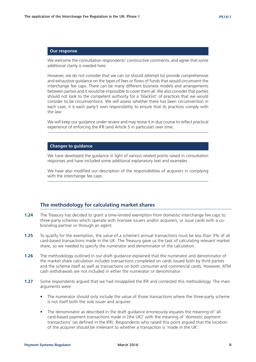We welcome the consultation respondents' constructive comments, and agree that some additional clarity is needed here.

However, we do not consider that we can (or should attempt to) provide comprehensive and exhaustive guidance on the types of fees or flows of funds that would circumvent the interchange fee caps. There can be many different business models and arrangements between parties and it would be impossible to cover them all. We also consider that parties should not look to the competent authority for a 'blacklist' of practices that we would consider to be circumventions. We will assess whether there has been circumvention in each case; it is each party's own responsibility to ensure that its practices comply with the law.

We will keep our guidance under review and may revise it in due course to reflect practical experience of enforcing the IFR (and Article 5 in particular) over time.

## **Changes to guidance**

We have developed the guidance in light of various related points raised in consultation responses and have included some additional explanatory text and examples.

We have also modified our description of the responsibilities of acquirers in complying with the interchange fee caps.

# **The methodology for calculating market shares**

- **1.24** The Treasury has decided to grant a time-limited exemption from domestic interchange fee caps to three-party schemes which operate with licensee issuers and/or acquirers, or issue cards with a cobranding partner or through an agent.
- **1.25** To qualify for the exemption, the value of a scheme's annual transactions must be less than 3% of all card-based transactions made in the UK. The Treasury gave us the task of calculating relevant market share, so we needed to specify the numerator and denominator of the calculation.
- **1.26** The methodology outlined in our draft guidance explained that the numerator and denominator of the market share calculation includes transactions completed on cards issued both by third parties and the scheme itself as well as transactions on both consumer and commercial cards. However, ATM cash withdrawals are not included in either the numerator or denominator.
- **1.27** Some respondents argued that we had misapplied the IFR and contested this methodology. The main arguments were:
	- The numerator should only include the value of those transactions where the three-party scheme is not itself both the sole issuer and acquirer.
	- The denominator as described in the draft guidance erroneously equates the meaning of 'all card-based payment transactions made in [the UK]' with the meaning of 'domestic payment transactions' (as defined in the IFR). Respondents who raised this point argued that the location of the acquirer should be irrelevant to whether a transaction is 'made in the UK'.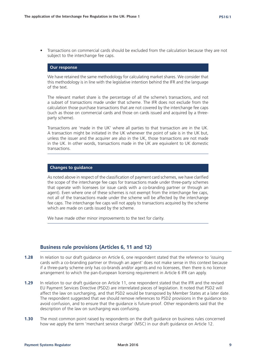• Transactions on commercial cards should be excluded from the calculation because they are not subject to the interchange fee caps.

#### **Our response**

We have retained the same methodology for calculating market shares. We consider that this methodology is in line with the legislative intention behind the IFR and the language of the text.

The relevant market share is the percentage of all the scheme's transactions, and not a subset of transactions made under that scheme. The IFR does not exclude from the calculation those purchase transactions that are not covered by the interchange fee caps (such as those on commercial cards and those on cards issued and acquired by a threeparty scheme).

Transactions are 'made in the UK' where all parties to that transaction are in the UK. A transaction might be initiated in the UK whenever the point of sale is in the UK but, unless the issuer and the acquirer are also in the UK, those transactions are not made in the UK. In other words, transactions made in the UK are equivalent to UK domestic transactions.

## **Changes to guidance**

As noted above in respect of the classification of payment card schemes, we have clarified the scope of the interchange fee caps for transactions made under three-party schemes that operate with licensees (or issue cards with a co-branding partner or through an agent). Even where one of these schemes is not exempt from the interchange fee caps, not all of the transactions made under the scheme will be affected by the interchange fee caps. The interchange fee caps will not apply to transactions acquired by the scheme which are made on cards issued by the scheme.

We have made other minor improvements to the text for clarity.

# **Business rule provisions (Articles 6, 11 and 12)**

- **1.28** In relation to our draft guidance on Article 6, one respondent stated that the reference to 'issuing cards with a co-branding partner or through an agent' does not make sense in this context because if a three-party scheme only has co-brands and/or agents and no licensees, then there is no licence arrangement to which the pan-European licensing requirement in Article 6 IFR can apply.
- **1.29** In relation to our draft guidance on Article 11, one respondent stated that the IFR and the revised EU Payment Services Directive (PSD2) are interrelated pieces of legislation. It noted that PSD2 will affect the law on surcharging, and that PSD2 would be transposed by Member States at a later date. The respondent suggested that we should remove references to PSD2 provisions in the guidance to avoid confusion, and to ensure that the guidance is future-proof. Other respondents said that the description of the law on surcharging was confusing.
- **1.30** The most common point raised by respondents on the draft guidance on business rules concerned how we apply the term 'merchant service charge' (MSC) in our draft guidance on Article 12.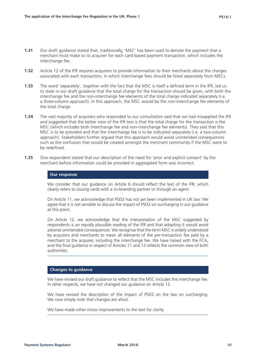- **1.31** Our draft guidance stated that, traditionally, 'MSC' has been used to denote the payment that a merchant must make to its acquirer for each card-based payment transaction, which includes the interchange fee.
- **1.32** Article 12 of the IFR requires acquirers to provide information to their merchants about the charges associated with each transaction, in which interchange fees should be listed separately from MSCs.
- **1.33** The word 'separately', together with the fact that the MSC is itself a defined term in the IFR, led us to state in our draft guidance that the total charge for the transaction should be given, with both the interchange fee and the non-interchange fee elements of the total charge indicated separately (i.e. a three-column approach). In this approach, the MSC would be the non-interchange fee elements of the total charge.
- **1.34** The vast majority of acquirers who responded to our consultation said that we had misapplied the IFR and suggested that the better view of the IFR text is that the total charge for the transaction is the MSC (which includes both interchange fee and non-interchange fee elements). They said that this MSC is to be provided and that the interchange fee is to be indicated separately (i.e. a two-column approach). Stakeholders further argued that this approach would avoid unintended consequences such as the confusion that would be created amongst the merchant community if the MSC were to be redefined.
- **1.35** One respondent stated that our description of the need for 'prior and explicit consent' by the merchant before information could be provided in aggregated form was incorrect.

We consider that our guidance on Article 6 should reflect the text of the IFR, which clearly refers to issuing cards with a co-branding partner or through an agent.

On Article 11, we acknowledge that PSD2 has not yet been implemented in UK law. We agree that it is not sensible to discuss the impact of PSD2 on surcharging in our guidance at this point.

On Article 12, we acknowledge that the interpretation of the MSC suggested by respondents is an equally plausible reading of the IFR and that adopting it would avoid adverse unintended consequences. We recognise that the term MSC is widely understood by acquirers and merchants to mean all elements of the per-transaction fee paid by a merchant to the acquirer, including the interchange fee. We have liaised with the FCA, and the final guidance in respect of Articles 11 and 12 reflects the common view of both authorities.

# **Changes to guidance**

We have revised our draft guidance to reflect that the MSC includes the interchange fee. In other respects, we have not changed our guidance on Article 12.

We have revised the description of the impact of PSD2 on the law on surcharging. We now simply note that changes are afoot.

We have made other minor improvements to the text for clarity.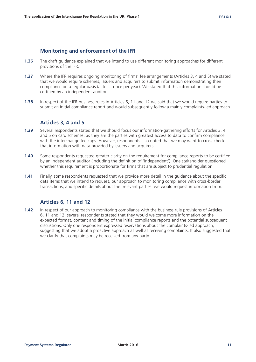# **Monitoring and enforcement of the IFR**

- **1.36** The draft guidance explained that we intend to use different monitoring approaches for different provisions of the IFR.
- **1.37** Where the IFR requires ongoing monitoring of firms' fee arrangements (Articles 3, 4 and 5) we stated that we would require schemes, issuers and acquirers to submit information demonstrating their compliance on a regular basis (at least once per year). We stated that this information should be certified by an independent auditor.
- **1.38** In respect of the IFR business rules in Articles 6, 11 and 12 we said that we would require parties to submit an initial compliance report and would subsequently follow a mainly complaints-led approach.

# **Articles 3, 4 and 5**

- **1.39** Several respondents stated that we should focus our information-gathering efforts for Articles 3, 4 and 5 on card schemes, as they are the parties with greatest access to data to confirm compliance with the interchange fee caps. However, respondents also noted that we may want to cross-check that information with data provided by issuers and acquirers.
- **1.40** Some respondents requested greater clarity on the requirement for compliance reports to be certified by an independent auditor (including the definition of 'independent'). One stakeholder questioned whether this requirement is proportionate for firms that are subject to prudential regulation.
- **1.41** Finally, some respondents requested that we provide more detail in the guidance about the specific data items that we intend to request, our approach to monitoring compliance with cross-border transactions, and specific details about the 'relevant parties' we would request information from.

# **Articles 6, 11 and 12**

**1.42** In respect of our approach to monitoring compliance with the business rule provisions of Articles 6, 11 and 12, several respondents stated that they would welcome more information on the expected format, content and timing of the initial compliance reports and the potential subsequent discussions. Only one respondent expressed reservations about the complaints-led approach, suggesting that we adopt a proactive approach as well as receiving complaints. It also suggested that we clarify that complaints may be received from any party.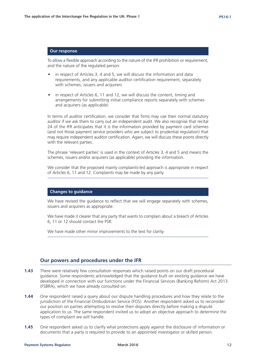To allow a flexible approach according to the nature of the IFR prohibition or requirement, and the nature of the regulated person:

- in respect of Articles 3, 4 and 5, we will discuss the information and data requirements, and any applicable auditor certification requirement, separately with schemes, issuers and acquirers
- in respect of Articles 6, 11 and 12, we will discuss the content, timing and arrangements for submitting initial compliance reports separately with schemes and acquirers (as applicable)

In terms of auditor certification, we consider that firms may use their normal statutory auditor if we ask them to carry out an independent audit. We also recognise that recital 24 of the IFR anticipates that it is the information provided by payment card schemes (and not those payment service providers who are subject to prudential regulation) that may require independent auditor certification. Again, we will discuss these points directly with the relevant parties.

The phrase 'relevant parties' is used in the context of Articles 3, 4 and 5 and means the schemes, issuers and/or acquirers (as applicable) providing the information.

We consider that the proposed mainly complaints-led approach is appropriate in respect of Articles 6, 11 and 12. Complaints may be made by any party.

#### **Changes to guidance**

We have revised the guidance to reflect that we will engage separately with schemes, issuers and acquirers as appropriate.

We have made it clearer that any party that wants to complain about a breach of Articles 6, 11 or 12 should contact the PSR.

We have made other minor improvements to the text for clarity.

# **Our powers and procedures under the IFR**

- **1.43** There were relatively few consultation responses which raised points on our draft procedural guidance. Some respondents acknowledged that the guidance built on existing guidance we have developed in connection with our functions under the Financial Services (Banking Reform) Act 2013 (FSBRA), which we have already consulted on.
- **1.44** One respondent raised a query about our dispute handling procedures and how they relate to the jurisdiction of the Financial Ombudsman Service (FOS). Another respondent asked us to reconsider our position on parties attempting to resolve their disputes directly before making a dispute application to us. The same respondent invited us to adopt an objective approach to determine the types of complaint we will handle.
- **1.45** One respondent asked us to clarify what protections apply against the disclosure of information or documents that a party is required to provide to an appointed investigator or skilled person.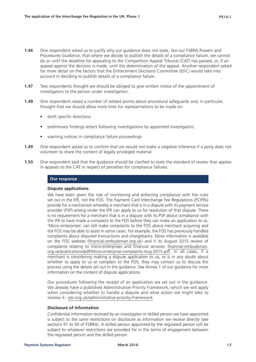- **1.46** One respondent asked us to justify why our guidance does not state, like our FSBRA Powers and Procedures Guidance, that where we decide to publish the details of a compliance failure, we cannot do so until the deadline for appealing to the Competition Appeal Tribunal (CAT) has passed, or, if an appeal against the decision is made, until the determination of the appeal. Another respondent asked for more detail on the factors that the Enforcement Decisions Committee (EDC) would take into account in deciding to publish details of a compliance failure.
- **1.47** Two respondents thought we should be obliged to give written notice of the appointment of investigators to the person under investigation.
- **1.48** One respondent raised a number of related points about procedural safeguards and, in particular, thought that we should allow more time for representations to be made on:
	- draft specific directions
	- preliminary findings letters following investigations by appointed investigators
	- warning notices in compliance failure proceedings
- **1.49** One respondent asked us to confirm that we would not make a negative inference if a party does not volunteer to share the content of legally privileged material.
- **1.50** One respondent said that the guidance should be clarified to state the standard of review that applies in appeals to the CAT in respect of penalties for compliance failures.

# **Dispute applications**

We have been given the role of monitoring and enforcing compliance with the rules set out in the IFR, not the FOS. The Payment Card Interchange Fee Regulations (PCIFRs) provide for a mechanism whereby a merchant that is in a dispute with its payment service provider (PSP) arising under the IFR can apply to us for resolution of that dispute. There is no requirement for a merchant that is in a dispute with its PSP about compliance with the IFR to have made a complaint to the FOS before they can make an application to us. 'Micro-enterprises' can still make complaints to the FOS about merchant acquiring and the FOS may be able to assist in some cases. For example, the FOS has previously handled complaints about disputed transactions and chargebacks. More information is available on the FOS website (financial-ombudsman.org.uk) and it its August 2015 review of complaints relating to micro-enterprises and financial services: financial-ombudsman. org.uk/publications/pdf/Micro-enterprise-complaints-Aug-2015.pdf. In all cases, if a merchant is considering making a dispute application to us, or is in any doubt about whether to apply to us or complain to the FOS, they may contact us to discuss the process using the details set out in the guidance. See Annex 1 of our guidance for more information on the content of dispute applications.

Our procedures following the receipt of an application are set out in the guidance. We already have a published Administrative Priority Framework, which we will apply when considering whether to handle a dispute and what action we might take to resolve it.: psr.org.uk/administrative-priority-framework

# **Disclosure of information**

Confidential information received by an investigator or skilled person we have appointed is subject to the same restrictions on disclosure as information we receive directly (see sections 91 to 93 of FSBRA). A skilled person appointed by the regulated person will be subject to whatever restrictions are provided for in the terms of engagement between the regulated person and the skilled person.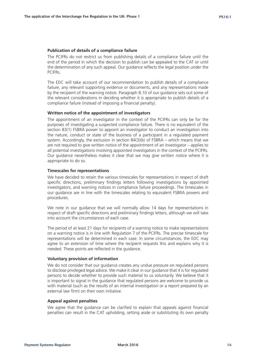### **Publication of details of a compliance failure**

The PCIFRs do not restrict us from publishing details of a compliance failure until the end of the period in which the decision to publish can be appealed to the CAT or until the determination of any such appeal. Our guidance reflects the legal position under the PCIFRs.

The EDC will take account of our recommendation to publish details of a compliance failure, any relevant supporting evidence or documents, and any representations made by the recipient of the warning notice. Paragraph 8.10 of our guidance sets out some of the relevant considerations in deciding whether it is appropriate to publish details of a compliance failure (instead of imposing a financial penalty).

#### **Written notice of the appointment of investigators**

The appointment of an investigator in the context of the PCIFRs can only be for the purposes of investigating a suspected compliance failure. There is no equivalent of the section 83(1) FSBRA power to appoint an investigator to conduct an investigation into the nature, conduct or state of the business of a participant in a regulated payment system. Accordingly, the exclusion in section 84(3)(b) of FSBRA – which means that we are not required to give written notice of the appointment of an investigator – applies to all potential investigations involving appointed investigators in the context of the PCIFRs. Our guidance nevertheless makes it clear that we may give written notice where it is appropriate to do so.

#### **Timescales for representations**

We have decided to retain the various timescales for representations in respect of draft specific directions, preliminary findings letters following investigations by appointed investigators, and warning notices in compliance failure proceedings. The timescales in our guidance are in line with the timescales relating to equivalent FSBRA powers and procedures.

We note in our guidance that we will normally allow 14 days for representations in respect of draft specific directions and preliminary findings letters, although we will take into account the circumstances of each case.

The period of at least 21 days for recipients of a warning notice to make representations on a warning notice is in line with Regulation 7 of the PCIFRs. The precise timescale for representations will be determined in each case. In some circumstances, the EDC may agree to an extension of time where the recipient requests this and explains why it is needed. These points are reflected in the guidance.

#### **Voluntary provision of information**

We do not consider that our guidance creates any undue pressure on regulated persons to disclose privileged legal advice. We make it clear in our guidance that it is for regulated persons to decide whether to provide such material to us voluntarily. We believe that it is important to signal in the guidance that regulated persons are welcome to provide us with material (such as the results of an internal investigation or a report prepared by an external law firm) on their own initiative.

#### **Appeal against penalties**

We agree that the guidance can be clarified to explain that appeals against financial penalties can result in the CAT upholding, setting aside or substituting its own penalty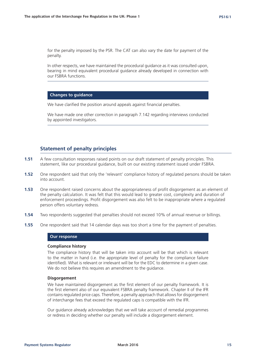for the penalty imposed by the PSR. The CAT can also vary the date for payment of the penalty.

In other respects, we have maintained the procedural guidance as it was consulted upon, bearing in mind equivalent procedural guidance already developed in connection with our FSBRA functions.

# **Changes to guidance**

We have clarified the position around appeals against financial penalties.

We have made one other correction in paragraph 7.142 regarding interviews conducted by appointed investigators.

# **Statement of penalty principles**

- **1.51** A few consultation responses raised points on our draft statement of penalty principles. This statement, like our procedural guidance, built on our existing statement issued under FSBRA.
- **1.52** One respondent said that only the 'relevant' compliance history of regulated persons should be taken into account.
- **1.53** One respondent raised concerns about the appropriateness of profit disgorgement as an element of the penalty calculation. It was felt that this would lead to greater cost, complexity and duration of enforcement proceedings. Profit disgorgement was also felt to be inappropriate where a regulated person offers voluntary redress.
- **1.54** Two respondents suggested that penalties should not exceed 10% of annual revenue or billings.
- **1.55** One respondent said that 14 calendar days was too short a time for the payment of penalties.

#### **Our response**

#### **Compliance history**

The compliance history that will be taken into account will be that which is relevant to the matter in hand (i.e. the appropriate level of penalty for the compliance failure identified). What is relevant or irrelevant will be for the EDC to determine in a given case. We do not believe this requires an amendment to the quidance.

#### **Disgorgement**

We have maintained disgorgement as the first element of our penalty framework. It is the first element also of our equivalent FSBRA penalty framework. Chapter II of the IFR contains regulated price caps. Therefore, a penalty approach that allows for disgorgement of interchange fees that exceed the regulated caps is compatible with the IFR.

Our guidance already acknowledges that we will take account of remedial programmes or redress in deciding whether our penalty will include a disgorgement element.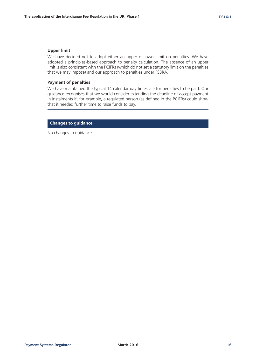### **Upper limit**

We have decided not to adopt either an upper or lower limit on penalties. We have adopted a principles-based approach to penalty calculation. The absence of an upper limit is also consistent with the PCIFRs (which do not set a statutory limit on the penalties that we may impose) and our approach to penalties under FSBRA.

# **Payment of penalties**

We have maintained the typical 14 calendar day timescale for penalties to be paid. Our guidance recognises that we would consider extending the deadline or accept payment in instalments if, for example, a regulated person (as defined in the PCIFRs) could show that it needed further time to raise funds to pay.

# **Changes to guidance**

No changes to guidance.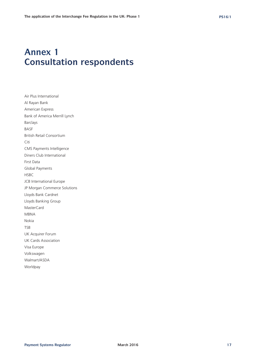# **Annex 1 Consultation respondents**

Air Plus International Al Rayan Bank American Express Bank of America Merrill Lynch Barclays BASF British Retail Consortium Citi CMS Payments Intelligence Diners Club International First Data Global Payments HSBC JCB International Europe JP Morgan Commerce Solutions Lloyds Bank Cardnet Lloyds Banking Group MasterCard MBNA Nokia TSB UK Acquirer Forum UK Cards Association Visa Europe Volkswagen Walmart/ASDA Worldpay